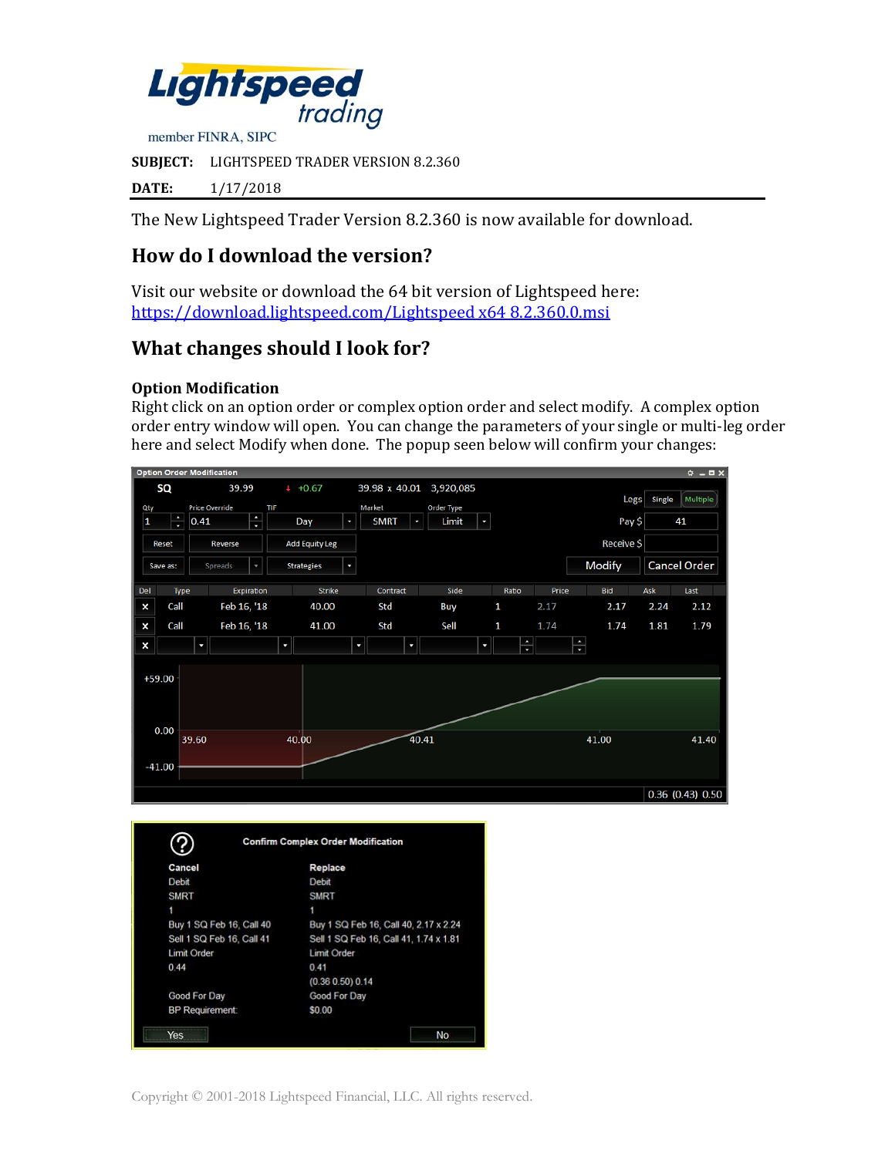

**SUBJECT:** LIGHTSPEED TRADER VERSION 8.2.360

**DATE:** 1/17/2018

The New Lightspeed Trader Version 8.2.360 is now available for download.

# **How do I download the version?**

Visit our website or download the 64 bit version of Lightspeed here: [https://download.lightspeed.com/Lightspeed x64 8.2.360.0.msi](https://download.lightspeed.com/Lightspeed%20x64%208.2.360.0.msi)

# **What changes should I look for?**

#### **Option Modification**

Right click on an option order or complex option order and select modify. A complex option order entry window will open. You can change the parameters of your single or multi-leg order here and select Modify when done. The popup seen below will confirm your changes:



|                           | <b>Confirm Complex Order Modification</b> |  |  |  |  |
|---------------------------|-------------------------------------------|--|--|--|--|
| Cancel                    | Replace                                   |  |  |  |  |
| Debit                     | Debit                                     |  |  |  |  |
| <b>SMRT</b>               | <b>SMRT</b>                               |  |  |  |  |
| 1                         | 1                                         |  |  |  |  |
| Buy 1 SQ Feb 16, Call 40  | Buy 1 SQ Feb 16, Call 40, 2.17 x 2.24     |  |  |  |  |
| Sell 1 SQ Feb 16, Call 41 | Sell 1 SQ Feb 16, Call 41, 1.74 x 1.81    |  |  |  |  |
| Limit Order               | Limit Order                               |  |  |  |  |
| 0.44                      | 0.41                                      |  |  |  |  |
|                           | (0.36 0.50) 0.14                          |  |  |  |  |
| Good For Day              | Good For Day                              |  |  |  |  |
| <b>BP</b> Requirement:    | \$0.00                                    |  |  |  |  |
| Yes                       | No                                        |  |  |  |  |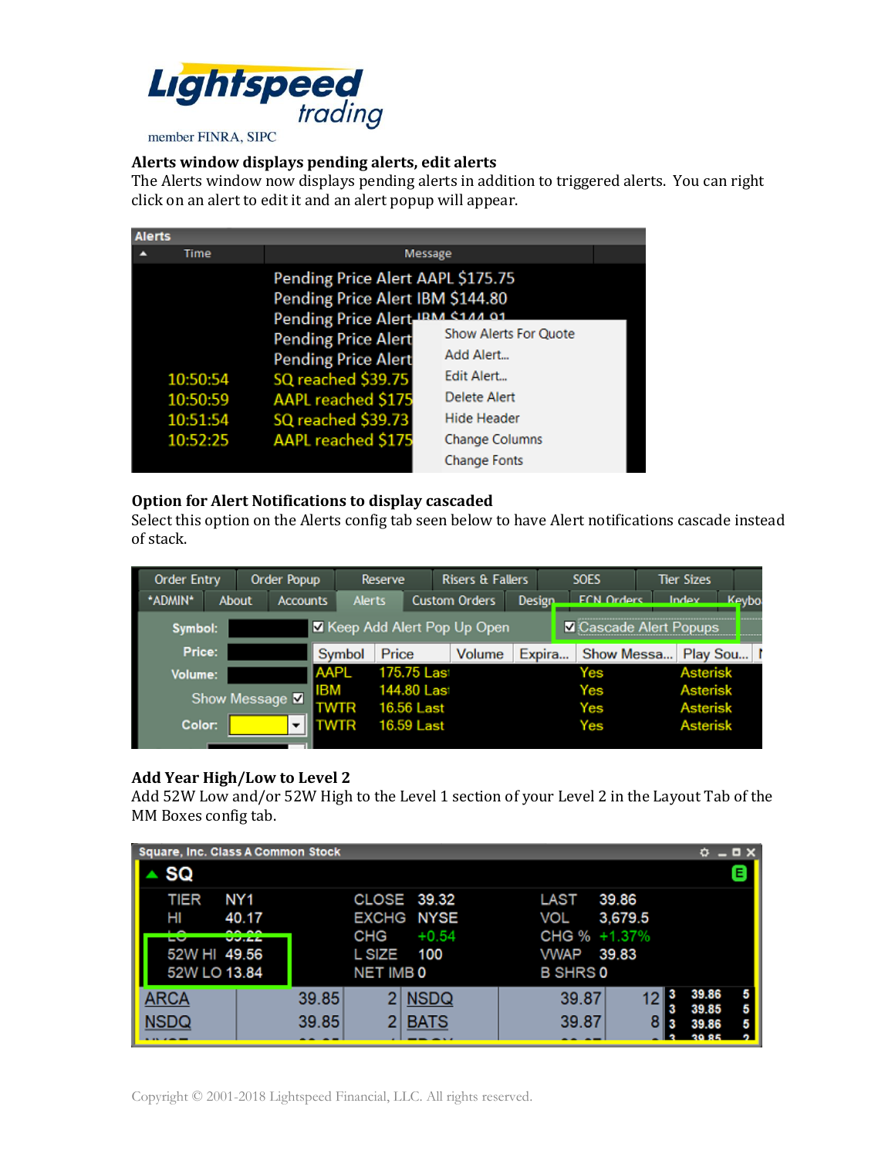

#### **Alerts window displays pending alerts, edit alerts**

The Alerts window now displays pending alerts in addition to triggered alerts. You can right click on an alert to edit it and an alert popup will appear.

| <b>Alerts</b> |                                              |                                                                                                                                                                         |                                                                                        |  |  |  |  |
|---------------|----------------------------------------------|-------------------------------------------------------------------------------------------------------------------------------------------------------------------------|----------------------------------------------------------------------------------------|--|--|--|--|
|               | Time                                         | <b>Message</b>                                                                                                                                                          |                                                                                        |  |  |  |  |
|               |                                              | Pending Price Alert AAPL \$175.75<br>Pending Price Alert IBM \$144.80<br>Pending Price Alert IRM \$144.91<br><b>Show Alerts For Quote</b><br><b>Pending Price Alert</b> |                                                                                        |  |  |  |  |
|               | 10:50:54<br>10:50:59<br>10:51:54<br>10:52:25 | <b>Pending Price Alert</b><br>SQ reached \$39.75<br><b>AAPL reached \$175</b><br>SQ reached \$39.73<br><b>AAPL reached \$175</b>                                        | Add Alert<br>Edit Alert<br>Delete Alert<br><b>Hide Header</b><br><b>Change Columns</b> |  |  |  |  |
|               |                                              |                                                                                                                                                                         | <b>Change Fonts</b>                                                                    |  |  |  |  |

### **Option for Alert Notifications to display cascaded**

Select this option on the Alerts config tab seen below to have Alert notifications cascade instead of stack.

| <b>Order Entry</b><br>Order Popup                               |                 | Reserve         |                      | <b>Risers &amp; Fallers</b> |        | <b>SOES</b>       | <b>Tier Sizes</b> |              |
|-----------------------------------------------------------------|-----------------|-----------------|----------------------|-----------------------------|--------|-------------------|-------------------|--------------|
| *ADMIN*<br>About                                                | <b>Accounts</b> | <b>Alerts</b>   | <b>Custom Orders</b> |                             | Design | <b>FCN Orders</b> | Index             | <b>Keybo</b> |
| X Keep Add Alert Pop Up Open<br>Cascade Alert Popups<br>Symbol: |                 |                 |                      |                             |        |                   |                   |              |
| Price:                                                          |                 | Price<br>Symbol |                      | Volume                      | Expira | Show Messa        | Play Sou          |              |
| Volume:                                                         | <b>AAPL</b>     |                 | 175.75 Last          |                             |        | Yes               | <b>Asterisk</b>   |              |
| Show Message V                                                  | <b>IBM</b>      |                 | 144.80 Last          |                             |        | Yes               | <b>Asterisk</b>   |              |
|                                                                 |                 |                 | <b>16.56 Last</b>    |                             |        | Yes               | <b>Asterisk</b>   |              |
| Color:                                                          | ▼               | NTR             | 16.59 Last           |                             |        | Yes               | <b>Asterisk</b>   |              |

### **Add Year High/Low to Level 2**

Add 52W Low and/or 52W High to the Level 1 section of your Level 2 in the Layout Tab of the MM Boxes config tab.

|                                                        | <b>Square, Inc. Class A Common Stock</b> |                                                                                        | $O = D \times$                                                                             |             |
|--------------------------------------------------------|------------------------------------------|----------------------------------------------------------------------------------------|--------------------------------------------------------------------------------------------|-------------|
| SQ                                                     |                                          |                                                                                        |                                                                                            | Ε           |
| <b>TIER</b><br>HI<br>⊷<br>52W HI 49.56<br>52W LO 13.84 | NY1<br>40.17<br><b>VU.LL</b>             | CLOSE 39.32<br><b>EXCHG NYSE</b><br>CHG<br>$+0.54$<br>L SIZE<br>100<br><b>NET IMBO</b> | 39.86<br>LAST<br>VOL<br>3,679.5<br>CHG % +1.37%<br><b>VWAP</b><br>39.83<br><b>B SHRS 0</b> |             |
| <b>ARCA</b><br><b>NSDQ</b>                             | 39.85<br>39.85                           | <b>NSDQ</b><br><b>BATS</b>                                                             | 39.86<br>39.87<br>39.85<br>39.87<br>39.86                                                  | 5<br>5<br>5 |